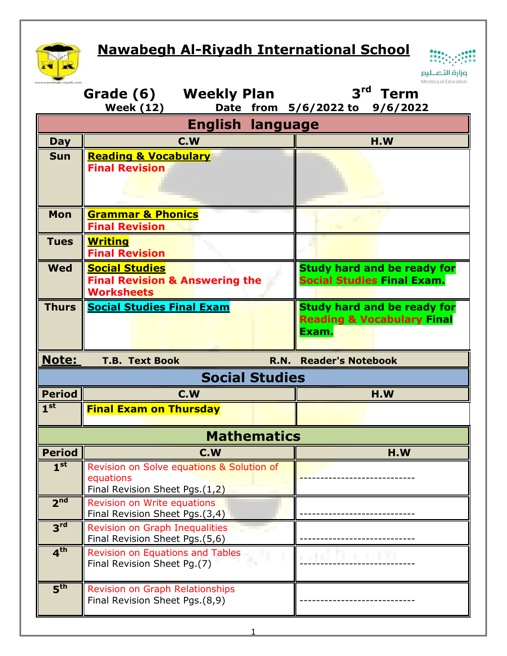## **Nawabegh Al-Riyadh International School**



|  | i. | وزارة ال |  |
|--|----|----------|--|

|                         | Grade (6) Weekly Plan<br><b>Week (12)</b>                                                | Ministry of Education<br>3 <sup>rd</sup><br>Term<br>Date from 5/6/2022 to<br>9/6/2022 |  |  |  |  |  |
|-------------------------|------------------------------------------------------------------------------------------|---------------------------------------------------------------------------------------|--|--|--|--|--|
| <b>English language</b> |                                                                                          |                                                                                       |  |  |  |  |  |
| <b>Day</b>              | C.W                                                                                      | H.W                                                                                   |  |  |  |  |  |
| <b>Sun</b>              | <b>Reading &amp; Vocabulary</b><br><b>Final Revision</b>                                 |                                                                                       |  |  |  |  |  |
| <b>Mon</b>              | <b>Grammar &amp; Phonics</b><br><b>Final Revision</b>                                    |                                                                                       |  |  |  |  |  |
| <b>Tues</b>             | <b>Writing</b><br><b>Final Revision</b>                                                  |                                                                                       |  |  |  |  |  |
| <b>Wed</b>              | <b>Social Studies</b><br><b>Final Revision &amp; Answering the</b><br><b>Worksheets</b>  | <b>Study hard and be ready for</b><br><b>Social Studies Final Exam.</b>               |  |  |  |  |  |
| <b>Thurs</b>            | <b>Social Studies Final Exam</b>                                                         | <b>Study hard and be ready for</b><br><b>Reading &amp; Vocabulary Final</b><br>Exam.  |  |  |  |  |  |
| Note:                   | <b>T.B. Text Book</b><br><b>R.N.</b>                                                     | <b>Reader's Notebook</b>                                                              |  |  |  |  |  |
|                         | <b>Social Studies</b>                                                                    |                                                                                       |  |  |  |  |  |
| <b>Period</b>           | C.W                                                                                      | H.W                                                                                   |  |  |  |  |  |
| 1 <sup>st</sup>         | <b>Final Exam on Thursday</b>                                                            |                                                                                       |  |  |  |  |  |
|                         | <b>Mathematics</b>                                                                       |                                                                                       |  |  |  |  |  |
| <b>Period</b>           | Т<br>C.W                                                                                 | H.W                                                                                   |  |  |  |  |  |
| 1 <sup>st</sup>         | Revision on Solve equations & Solution of<br>equations<br>Final Revision Sheet Pgs.(1,2) |                                                                                       |  |  |  |  |  |
| 2 <sup>nd</sup>         | <b>Revision on Write equations</b><br>Final Revision Sheet Pgs.(3,4)                     |                                                                                       |  |  |  |  |  |
| 3 <sup>rd</sup>         | <b>Revision on Graph Inequalities</b><br>Final Revision Sheet Pgs.(5,6)                  |                                                                                       |  |  |  |  |  |
| 4 <sup>th</sup>         |                                                                                          |                                                                                       |  |  |  |  |  |
| $\overline{5^{th}}$     | Revision on Equations and Tables<br>Final Revision Sheet Pg.(7)                          |                                                                                       |  |  |  |  |  |